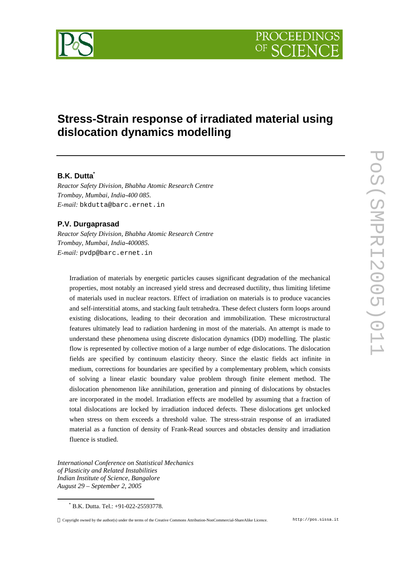

# **Stress-Strain response of irradiated material using dislocation dynamics modelling**

# **B.K. Dutta\***

*Reactor Safety Division, Bhabha Atomic Research Centre Trombay, Mumbai, India-400 085. E-mail:* bkdutta@barc.ernet.in

## **P.V. Durgaprasad**

*Reactor Safety Division, Bhabha Atomic Research Centre Trombay, Mumbai, India-400085. E-mail:* pvdp@barc.ernet.in

Irradiation of materials by energetic particles causes significant degradation of the mechanical properties, most notably an increased yield stress and decreased ductility, thus limiting lifetime of materials used in nuclear reactors. Effect of irradiation on materials is to produce vacancies and self-interstitial atoms, and stacking fault tetrahedra. These defect clusters form loops around existing dislocations, leading to their decoration and immobilization. These microstructural features ultimately lead to radiation hardening in most of the materials. An attempt is made to understand these phenomena using discrete dislocation dynamics (DD) modelling. The plastic flow is represented by collective motion of a large number of edge dislocations. The dislocation fields are specified by continuum elasticity theory. Since the elastic fields act infinite in medium, corrections for boundaries are specified by a complementary problem, which consists of solving a linear elastic boundary value problem through finite element method. The dislocation phenomenon like annihilation, generation and pinning of dislocations by obstacles are incorporated in the model. Irradiation effects are modelled by assuming that a fraction of total dislocations are locked by irradiation induced defects. These dislocations get unlocked when stress on them exceeds a threshold value. The stress-strain response of an irradiated material as a function of density of Frank-Read sources and obstacles density and irradiation fluence is studied.

*International Conference on Statistical Mechanics of Plasticity and Related Instabilities Indian Institute of Science, Bangalore August 29 – September 2, 2005*

 $\overline{a}$ 

<sup>\*</sup> B.K. Dutta. Tel.: +91-022-25593778.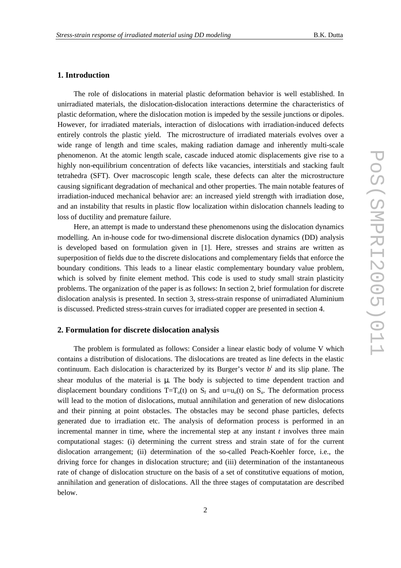#### **1. Introduction**

The role of dislocations in material plastic deformation behavior is well established. In unirradiated materials, the dislocation-dislocation interactions determine the characteristics of plastic deformation, where the dislocation motion is impeded by the sessile junctions or dipoles. However, for irradiated materials, interaction of dislocations with irradiation-induced defects entirely controls the plastic yield. The microstructure of irradiated materials evolves over a wide range of length and time scales, making radiation damage and inherently multi-scale phenomenon. At the atomic length scale, cascade induced atomic displacements give rise to a highly non-equilibrium concentration of defects like vacancies, interstitials and stacking fault tetrahedra (SFT). Over macroscopic length scale, these defects can alter the microstructure causing significant degradation of mechanical and other properties. The main notable features of irradiation-induced mechanical behavior are: an increased yield strength with irradiation dose, and an instability that results in plastic flow localization within dislocation channels leading to loss of ductility and premature failure.

Here, an attempt is made to understand these phenomenons using the dislocation dynamics modelling. An in-house code for two-dimensional discrete dislocation dynamics (DD) analysis is developed based on formulation given in [1]. Here, stresses and strains are written as superposition of fields due to the discrete dislocations and complementary fields that enforce the boundary conditions. This leads to a linear elastic complementary boundary value problem, which is solved by finite element method. This code is used to study small strain plasticity problems. The organization of the paper is as follows: In section 2, brief formulation for discrete dislocation analysis is presented. In section 3, stress-strain response of unirradiated Aluminium is discussed. Predicted stress-strain curves for irradiated copper are presented in section 4.

#### **2. Formulation for discrete dislocation analysis**

The problem is formulated as follows: Consider a linear elastic body of volume V which contains a distribution of dislocations. The dislocations are treated as line defects in the elastic continuum. Each dislocation is characterized by its Burger's vector  $b^i$  and its slip plane. The shear modulus of the material is *m*. The body is subjected to time dependent traction and displacement boundary conditions  $T=T_o(t)$  on  $S_f$  and  $u=u_o(t)$  on  $S_u$ . The deformation process will lead to the motion of dislocations, mutual annihilation and generation of new dislocations and their pinning at point obstacles. The obstacles may be second phase particles, defects generated due to irradiation etc. The analysis of deformation process is performed in an incremental manner in time, where the incremental step at any instant *t* involves three main computational stages: (i) determining the current stress and strain state of for the current dislocation arrangement; (ii) determination of the so-called Peach-Koehler force, i.e., the driving force for changes in dislocation structure; and (iii) determination of the instantaneous rate of change of dislocation structure on the basis of a set of constitutive equations of motion, annihilation and generation of dislocations. All the three stages of computatation are described below.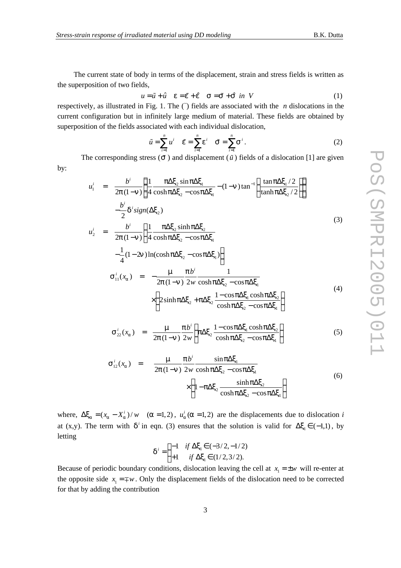The current state of body in terms of the displacement, strain and stress fields is written as the superposition of two fields,

$$
u = \tilde{u} + \hat{u} \quad \mathbf{e} = \tilde{\mathbf{e}} + \hat{\mathbf{e}} \quad \mathbf{s} = \tilde{\mathbf{s}} + \hat{\mathbf{s}} \quad \text{in} \quad V \tag{1}
$$

respectively, as illustrated in Fig. 1. The  $\tilde{ }$  fields are associated with the *n* dislocations in the current configuration but in infinitely large medium of material. These fields are obtained by superposition of the fields associated with each individual dislocation,

$$
\tilde{u} = \sum_{i=1}^{n} u^{i} \quad \tilde{e} = \sum_{i=1}^{n} e^{i} \quad \tilde{s} = \sum_{i=1}^{n} s^{i}.
$$
 (2)

The corresponding stress  $(\tilde{s})$  and displacement  $(\tilde{u})$  fields of a dislocation [1] are given by:

$$
u_1^i = \frac{b^i}{2p(1-n)} \left\{ \frac{1}{4} \frac{p\Delta x_2 \sin p\Delta x_1}{\cosh p\Delta x_2 - \cos p\Delta x_1} - (1-n) \tan^{-1} \left( \frac{\tan p\Delta x_1/2}{\tanh p\Delta x_2/2} \right) \right\}
$$

$$
-\frac{b^i}{2} d^i \operatorname{sign}(\Delta x_2)
$$
(3)

$$
u_2^i = \frac{b^i}{2p(1-n)} \left\{ \frac{1}{4} \frac{p\Delta x_2 \sinh p\Delta x_2}{\cosh p\Delta x_2 - \cos p\Delta x_1} - \frac{1}{4} (1-2n) \ln(\cosh p\Delta x_2 - \cos p\Delta x_1) \right\}
$$

$$
\mathbf{s}_{11}^{i}(x_{a}) = -\frac{\mathbf{m}}{2\mathbf{p}(1-\mathbf{n})} \frac{\mathbf{p}b^{i}}{2w} \frac{1}{\cosh \mathbf{p}\Delta \mathbf{x}_{2} - \cos \mathbf{p}\Delta \mathbf{x}_{1}} \times \left\{ 2\sinh \mathbf{p}\Delta \mathbf{x}_{2} + \mathbf{p}\Delta \mathbf{x}_{2} \frac{1 - \cos \mathbf{p}\Delta \mathbf{x}_{1} \cos \mathbf{p}\Delta \mathbf{x}_{2}}{\cosh \mathbf{p}\Delta \mathbf{x}_{2} - \cos \mathbf{p}\Delta \mathbf{x}_{1}} \right\}
$$
(4)

$$
\mathbf{s}_{22}^i(x_a) = \frac{\mathbf{m}}{2\mathbf{p}(1-\mathbf{n})} \frac{\mathbf{p}^{b^i}}{2w} \left\{ \mathbf{p} \Delta \mathbf{x}_2 \frac{1-\cos \mathbf{p} \Delta \mathbf{x}_1 \cosh \mathbf{p} \Delta \mathbf{x}_2}{\cosh \mathbf{p} \Delta \mathbf{x}_2 - \cos \mathbf{p} \Delta \mathbf{x}_1} \right\} \tag{5}
$$

$$
\mathbf{s}_{12}^{i}(x_{a}) = \frac{\mathbf{m}}{2\mathbf{p}(1-\mathbf{n})} \frac{\mathbf{p}b^{i}}{2w} \frac{\sin \mathbf{p}\Delta x_{1}}{\cosh \mathbf{p}\Delta x_{2} - \cos \mathbf{p}\Delta x_{1}} \times \left\{1 - \mathbf{p}\Delta x_{2} \frac{\sinh \mathbf{p}\Delta x_{2}}{\cosh \mathbf{p}\Delta x_{2} - \cos \mathbf{p}\Delta x_{1}}\right\}
$$
(6)

where,  $\Delta x_a = (x_a - X_a^i)/w$   $(a = 1,2)$ ,  $u_a^i(a = 1,2)$  are the displacements due to dislocation *i* at (x,y). The term with  $d^i$  in eqn. (3) ensures that the solution is valid for  $\Delta x_i \in (-1,1)$ , by letting

$$
\mathbf{d}^{i} = \begin{cases} -1 & \text{if } \Delta \mathbf{x}_{1} \in (-3/2, -1/2) \\ +1 & \text{if } \Delta \mathbf{x}_{1} \in (1/2, 3/2). \end{cases}
$$

Because of periodic boundary conditions, dislocation leaving the cell at  $x_1 = \pm w$  will re-enter at the opposite side  $x_1 = \pm w$ . Only the displacement fields of the dislocation need to be corrected for that by adding the contribution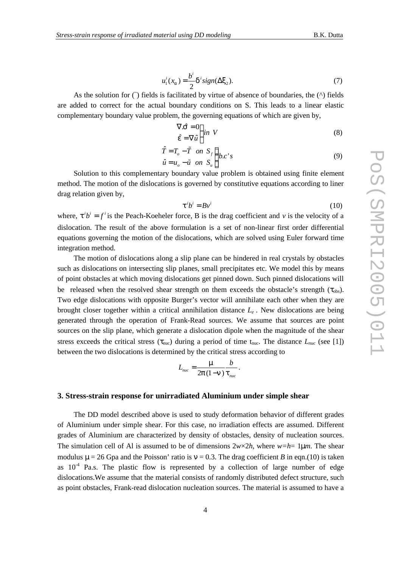$$
u_1^i(x_a) = \frac{b^i}{2} \mathbf{d}^i \operatorname{sign}(\Delta \mathbf{x}_2). \tag{7}
$$

As the solution for  $(\tilde{\ } )$  fields is facilitated by virtue of absence of boundaries, the  $(\wedge )$  fields are added to correct for the actual boundary conditions on S. This leads to a linear elastic complementary boundary value problem, the governing equations of which are given by,

$$
\nabla \hat{\mathbf{s}} = 0 \n\hat{\mathbf{e}} = \nabla \hat{u} \n\end{bmatrix} in \ V
$$
\n(8)

$$
\hat{T} = T_o - \tilde{T} \quad on \quad S_f
$$
\n
$$
\hat{u} = u_o - \tilde{u} \quad on \quad S_u
$$
\n
$$
\begin{cases}\n b.c.'s\n\end{cases}
$$
\n(9)

Solution to this complementary boundary value problem is obtained using finite element method. The motion of the dislocations is governed by constitutive equations according to liner drag relation given by,

$$
\mathbf{t}^i b^i = B v^i \tag{10}
$$

where,  $\mathbf{t}^i b^i = f^i$  is the Peach-Koeheler force, B is the drag coefficient and *v* is the velocity of a dislocation. The result of the above formulation is a set of non-linear first order differential equations governing the motion of the dislocations, which are solved using Euler forward time integration method.

The motion of dislocations along a slip plane can be hindered in real crystals by obstacles such as dislocations on intersecting slip planes, small precipitates etc. We model this by means of point obstacles at which moving dislocations get pinned down. Such pinned dislocations will be released when the resolved shear strength on them exceeds the obstacle's strength  $(\tau_{obs})$ . Two edge dislocations with opposite Burger's vector will annihilate each other when they are brought closer together within a critical annihilation distance *L<sup>e</sup> .* New dislocations are being generated through the operation of Frank-Read sources. We assume that sources are point sources on the slip plane, which generate a dislocation dipole when the magnitude of the shear stress exceeds the critical stress ( $\tau_{\text{nuc}}$ ) during a period of time  $t_{\text{nuc}}$ . The distance  $L_{\text{nuc}}$  (see [1]) between the two dislocations is determined by the critical stress according to

$$
L_{\scriptscriptstyle nuc} = \frac{\mathbf{m}}{2\mathbf{p}(1-\mathbf{n})} \frac{b}{\mathbf{t}_{\scriptscriptstyle nuc}}
$$

.

#### **3. Stress-strain response for unirradiated Aluminium under simple shear**

The DD model described above is used to study deformation behavior of different grades of Aluminium under simple shear. For this case, no irradiation effects are assumed. Different grades of Aluminium are characterized by density of obstacles, density of nucleation sources. The simulation cell of Al is assumed to be of dimensions  $2w \times 2h$ , where  $w=h=1$ **m***n*. The shear modulus  $m = 26$  Gpa and the Poisson' ratio is  $v = 0.3$ . The drag coefficient *B* in eqn.(10) is taken as  $10^{-4}$  Pa.s. The plastic flow is represented by a collection of large number of edge dislocations.We assume that the material consists of randomly distributed defect structure, such as point obstacles, Frank-read dislocation nucleation sources. The material is assumed to have a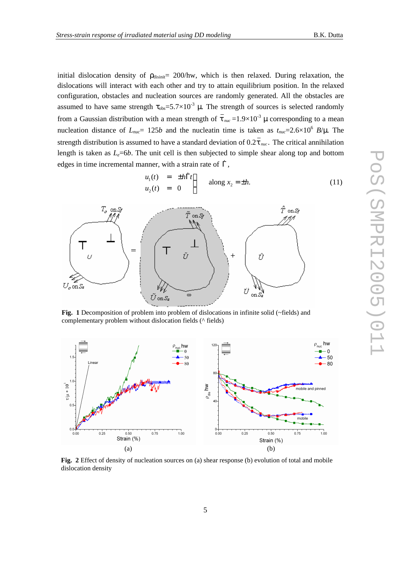initial dislocation density of  $\rho_{\text{disinit}} = 200/\text{hw}$ , which is then relaxed. During relaxation, the dislocations will interact with each other and try to attain equilibrium position. In the relaxed configuration, obstacles and nucleation sources are randomly generated. All the obstacles are assumed to have same strength  $\tau_{obs} = 5.7 \times 10^{-3}$  **m**. The strength of sources is selected randomly from a Gaussian distribution with a mean strength of  $\bar{t}_{nuc}$  =1.9×10<sup>-3</sup> m corresponding to a mean nucleation distance of  $L_{\text{nuc}}$  = 125*b* and the nucleatin time is taken as  $t_{\text{nuc}}$  = 2.6×10<sup>6</sup> *B*/*m*. The strength distribution is assumed to have a standard deviation of  $0.2\bar{t}$  *nuc*. The critical annihilation length is taken as  $L_e$ =6*b*. The unit cell is then subjected to simple shear along top and bottom edges in time incremental manner, with a strain rate of  $\Gamma$ ,

$$
\begin{array}{rcl}\nu_1(t) & = & \pm h \dot{\Gamma} t \\
u_2(t) & = & 0\n\end{array}\n\} \qquad \text{along } x_2 = \pm h. \tag{11}
$$



**Fig. 1** Decomposition of problem into problem of dislocations in infinite solid (~fields) and complementary problem without dislocation fields (^ fields)



**Fig. 2** Effect of density of nucleation sources on (a) shear response (b) evolution of total and mobile dislocation density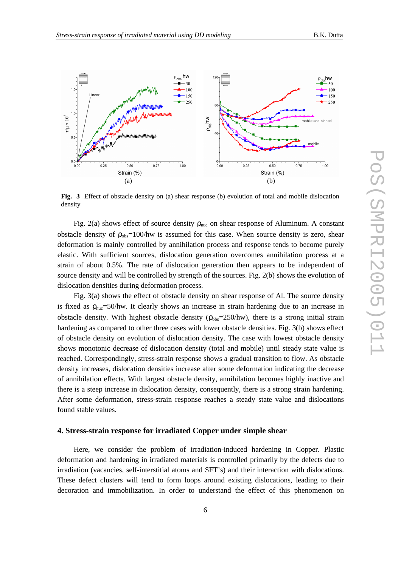

**Fig. 3** Effect of obstacle density on (a) shear response (b) evolution of total and mobile dislocation density

Fig. 2(a) shows effect of source density  $\rho_{\text{nuc}}$  on shear response of Aluminum. A constant obstacle density of  $\rho_{obs}=100/hw$  is assumed for this case. When source density is zero, shear deformation is mainly controlled by annihilation process and response tends to become purely elastic. With sufficient sources, dislocation generation overcomes annihilation process at a strain of about 0.5%. The rate of dislocation generation then appears to be independent of source density and will be controlled by strength of the sources. Fig. 2(b) shows the evolution of dislocation densities during deformation process.

Fig. 3(a) shows the effect of obstacle density on shear response of Al. The source density is fixed as  $\rho_{\text{nuc}}=50/\text{hw}$ . It clearly shows an increase in strain hardening due to an increase in obstacle density. With highest obstacle density  $(\rho_{obs}=250/hw)$ , there is a strong initial strain hardening as compared to other three cases with lower obstacle densities. Fig. 3(b) shows effect of obstacle density on evolution of dislocation density. The case with lowest obstacle density shows monotonic decrease of dislocation density (total and mobile) until steady state value is reached. Correspondingly, stress-strain response shows a gradual transition to flow. As obstacle density increases, dislocation densities increase after some deformation indicating the decrease of annihilation effects. With largest obstacle density, annihilation becomes highly inactive and there is a steep increase in dislocation density, consequently, there is a strong strain hardening. After some deformation, stress-strain response reaches a steady state value and dislocations found stable values.

#### **4. Stress-strain response for irradiated Copper under simple shear**

Here, we consider the problem of irradiation-induced hardening in Copper. Plastic deformation and hardening in irradiated materials is controlled primarily by the defects due to irradiation (vacancies, self-interstitial atoms and SFT's) and their interaction with dislocations. These defect clusters will tend to form loops around existing dislocations, leading to their decoration and immobilization. In order to understand the effect of this phenomenon on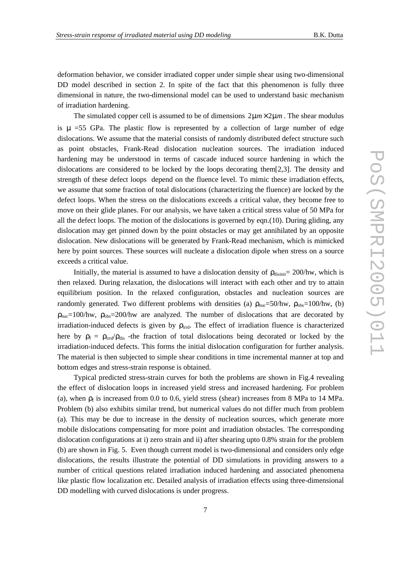deformation behavior, we consider irradiated copper under simple shear using two-dimensional DD model described in section 2. In spite of the fact that this phenomenon is fully three dimensional in nature, the two-dimensional model can be used to understand basic mechanism of irradiation hardening.

The simulated copper cell is assumed to be of dimensions  $2 \text{ m} m \times 2 \text{ m} m$ . The shear modulus is *m* =55 GPa. The plastic flow is represented by a collection of large number of edge dislocations. We assume that the material consists of randomly distributed defect structure such as point obstacles, Frank-Read dislocation nucleation sources. The irradiation induced hardening may be understood in terms of cascade induced source hardening in which the dislocations are considered to be locked by the loops decorating them[2,3]. The density and strength of these defect loops depend on the fluence level. To mimic these irradiation effects, we assume that some fraction of total dislocations (characterizing the fluence) are locked by the defect loops. When the stress on the dislocations exceeds a critical value, they become free to move on their glide planes. For our analysis, we have taken a critical stress value of 50 MPa for all the defect loops. The motion of the dislocations is governed by eqn.(10). During gliding, any dislocation may get pinned down by the point obstacles or may get annihilated by an opposite dislocation. New dislocations will be generated by Frank-Read mechanism, which is mimicked here by point sources. These sources will nucleate a dislocation dipole when stress on a source exceeds a critical value.

Initially, the material is assumed to have a dislocation density of  $\rho_{\text{dissini}} = 200/\text{hw}$ , which is then relaxed. During relaxation, the dislocations will interact with each other and try to attain equilibrium position. In the relaxed configuration, obstacles and nucleation sources are randomly generated. Two different problems with densities (a)  $\rho_{\text{nuc}} = 50/\text{hw}$ ,  $\rho_{\text{obs}} = 100/\text{hw}$ , (b)  $\rho_{\text{nuc}}$ =100/hw,  $\rho_{\text{obs}}$ =200/hw are analyzed. The number of dislocations that are decorated by irradiation-induced defects is given by  $\rho_{\text{irrd}}$ . The effect of irradiation fluence is characterized here by  $\rho_f = \rho_{irr} \rho_{dis}$  -the fraction of total dislocations being decorated or locked by the irradiation-induced defects. This forms the initial dislocation configuration for further analysis. The material is then subjected to simple shear conditions in time incremental manner at top and bottom edges and stress-strain response is obtained.

Typical predicted stress-strain curves for both the problems are shown in Fig.4 revealing the effect of dislocation loops in increased yield stress and increased hardening. For problem (a), when  $\rho_f$  is increased from 0.0 to 0.6, yield stress (shear) increases from 8 MPa to 14 MPa. Problem (b) also exhibits similar trend, but numerical values do not differ much from problem (a). This may be due to increase in the density of nucleation sources, which generate more mobile dislocations compensating for more point and irradiation obstacles. The corresponding dislocation configurations at i) zero strain and ii) after shearing upto 0.8% strain for the problem (b) are shown in Fig. 5. Even though current model is two-dimensional and considers only edge dislocations, the results illustrate the potential of DD simulations in providing answers to a number of critical questions related irradiation induced hardening and associated phenomena like plastic flow localization etc. Detailed analysis of irradiation effects using three-dimensional DD modelling with curved dislocations is under progress.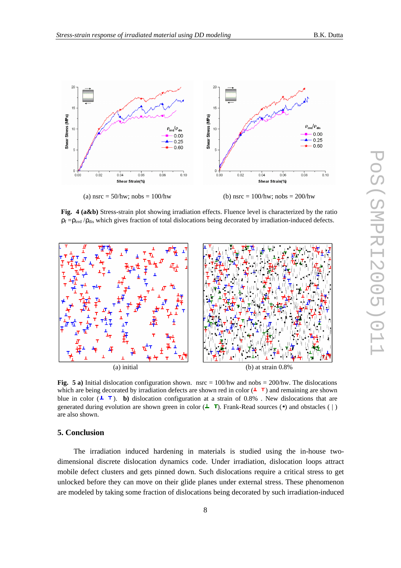

**Fig. 4 (a&b)** Stress-strain plot showing irradiation effects. Fluence level is characterized by the ratio  $\rho_f = \rho_{irrd} / \rho_{dis}$  which gives fraction of total dislocations being decorated by irradiation-induced defects.



**Fig. 5 a)** Initial dislocation configuration shown. nsrc =  $100$ /hw and nobs =  $200$ /hw. The dislocations which are being decorated by irradiation defects are shown red in color  $($  $\blacktriangle$   $\top$ ) and remaining are shown blue in color  $(\perp \top)$ . **b**) dislocation configuration at a strain of 0.8%. New dislocations that are generated during evolution are shown green in color  $(1, 0)$ . Frank-Read sources ( $\bullet$ ) and obstacles ( | ) are also shown.

### **5. Conclusion**

The irradiation induced hardening in materials is studied using the in-house twodimensional discrete dislocation dynamics code. Under irradiation, dislocation loops attract mobile defect clusters and gets pinned down. Such dislocations require a critical stress to get unlocked before they can move on their glide planes under external stress. These phenomenon are modeled by taking some fraction of dislocations being decorated by such irradiation-induced